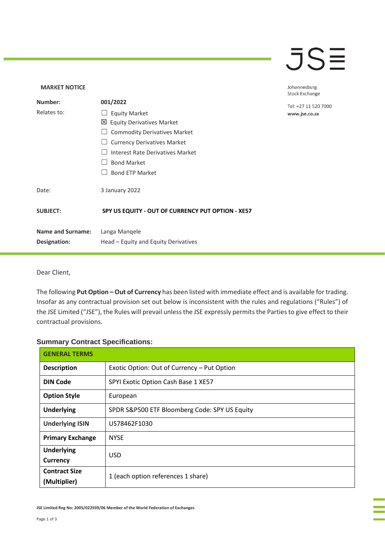### $\overline{\mathsf{J}}\mathsf{S}\overline{\Xi}$

### **MARKET NOTICE** Johannesburg **Stock Exchange Number: 001/2022** Tel: +27 11 520 7000 Relates to: □ Equity Market www.jse.co.za Equity Derivatives Market □ Commodity Derivatives Market □ Currency Derivatives Market ☐ Interest Rate Derivatives Market ☐ Bond Market □ Bond ETP Market Date: 3 January 2022 **SUBJECT: SPY US EQUITY - OUT OF CURRENCY PUT OPTION - XE57 Name and Surname:** Langa Manqele **Designation:** Head – Equity and Equity Derivatives

#### Dear Client,

The following **Put Option – Out of Currency** has been listed with immediate effect and is available for trading. Insofar as any contractual provision set out below is inconsistent with the rules and regulations ("Rules") of the JSE Limited ("JSE"), the Rules will prevail unless the JSE expressly permits the Parties to give effect to their contractual provisions.

#### **Summary Contract Specifications:**

| <b>GENERAL TERMS</b>                 |                                               |
|--------------------------------------|-----------------------------------------------|
| <b>Description</b>                   | Exotic Option: Out of Currency - Put Option   |
| <b>DIN Code</b>                      | SPYI Exotic Option Cash Base 1 XE57           |
| <b>Option Style</b>                  | European                                      |
| <b>Underlying</b>                    | SPDR S&P500 ETF Bloomberg Code: SPY US Equity |
| <b>Underlying ISIN</b>               | US78462F1030                                  |
| <b>Primary Exchange</b>              | <b>NYSE</b>                                   |
| <b>Underlying</b><br><b>Currency</b> | <b>USD</b>                                    |
| <b>Contract Size</b><br>(Multiplier) | 1 (each option references 1 share)            |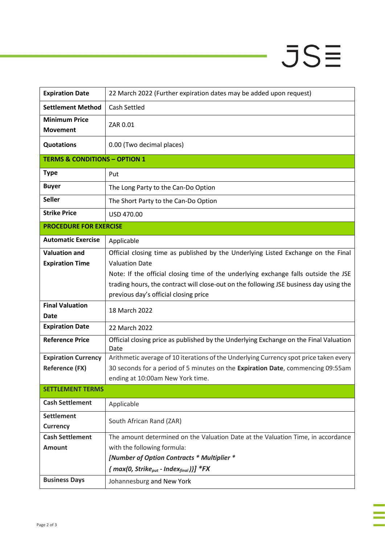# $JSE$

J

| <b>Expiration Date</b>                              | 22 March 2022 (Further expiration dates may be added upon request)                                                                                                                                                     |  |
|-----------------------------------------------------|------------------------------------------------------------------------------------------------------------------------------------------------------------------------------------------------------------------------|--|
| <b>Settlement Method</b>                            | Cash Settled                                                                                                                                                                                                           |  |
| <b>Minimum Price</b><br><b>Movement</b>             | ZAR 0.01                                                                                                                                                                                                               |  |
| <b>Quotations</b>                                   | 0.00 (Two decimal places)                                                                                                                                                                                              |  |
| <b>TERMS &amp; CONDITIONS - OPTION 1</b>            |                                                                                                                                                                                                                        |  |
| <b>Type</b>                                         | Put                                                                                                                                                                                                                    |  |
| <b>Buyer</b>                                        | The Long Party to the Can-Do Option                                                                                                                                                                                    |  |
| <b>Seller</b>                                       | The Short Party to the Can-Do Option                                                                                                                                                                                   |  |
| <b>Strike Price</b>                                 | USD 470.00                                                                                                                                                                                                             |  |
| <b>PROCEDURE FOR EXERCISE</b>                       |                                                                                                                                                                                                                        |  |
| <b>Automatic Exercise</b>                           | Applicable                                                                                                                                                                                                             |  |
| <b>Valuation and</b><br><b>Expiration Time</b>      | Official closing time as published by the Underlying Listed Exchange on the Final<br><b>Valuation Date</b>                                                                                                             |  |
|                                                     | Note: If the official closing time of the underlying exchange falls outside the JSE<br>trading hours, the contract will close-out on the following JSE business day using the<br>previous day's official closing price |  |
| <b>Final Valuation</b><br><b>Date</b>               | 18 March 2022                                                                                                                                                                                                          |  |
| <b>Expiration Date</b>                              | 22 March 2022                                                                                                                                                                                                          |  |
| <b>Reference Price</b>                              | Official closing price as published by the Underlying Exchange on the Final Valuation<br>Date                                                                                                                          |  |
| <b>Expiration Currency</b><br><b>Reference (FX)</b> | Arithmetic average of 10 iterations of the Underlying Currency spot price taken every<br>30 seconds for a period of 5 minutes on the Expiration Date, commencing 09:55am<br>ending at 10:00am New York time.           |  |
| <b>SETTLEMENT TERMS</b>                             |                                                                                                                                                                                                                        |  |
| <b>Cash Settlement</b>                              | Applicable                                                                                                                                                                                                             |  |
| <b>Settlement</b><br><b>Currency</b>                | South African Rand (ZAR)                                                                                                                                                                                               |  |
| <b>Cash Settlement</b>                              | The amount determined on the Valuation Date at the Valuation Time, in accordance                                                                                                                                       |  |
| <b>Amount</b>                                       | with the following formula:                                                                                                                                                                                            |  |
|                                                     | [Number of Option Contracts * Multiplier *<br>${mag(0, Strike_{put} - Index_{final})}$ *FX                                                                                                                             |  |
| <b>Business Days</b>                                | Johannesburg and New York                                                                                                                                                                                              |  |
|                                                     |                                                                                                                                                                                                                        |  |